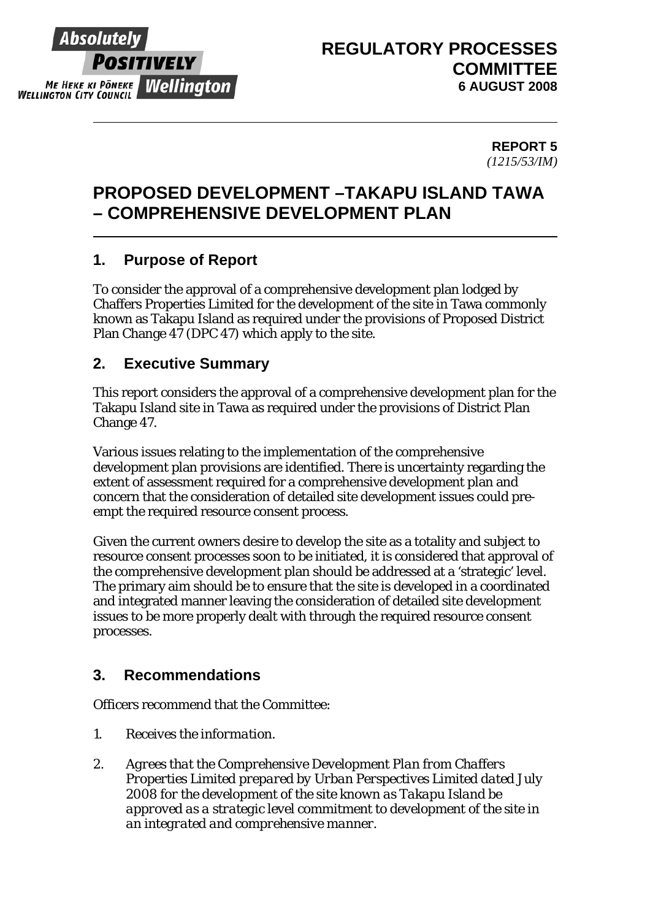

#### **REPORT 5**  *(1215/53/IM)*

## **PROPOSED DEVELOPMENT –TAKAPU ISLAND TAWA – COMPREHENSIVE DEVELOPMENT PLAN**

## **1. Purpose of Report**

To consider the approval of a comprehensive development plan lodged by Chaffers Properties Limited for the development of the site in Tawa commonly known as Takapu Island as required under the provisions of Proposed District Plan Change 47 (DPC 47) which apply to the site.

## **2. Executive Summary**

This report considers the approval of a comprehensive development plan for the Takapu Island site in Tawa as required under the provisions of District Plan Change 47.

Various issues relating to the implementation of the comprehensive development plan provisions are identified. There is uncertainty regarding the extent of assessment required for a comprehensive development plan and concern that the consideration of detailed site development issues could preempt the required resource consent process.

Given the current owners desire to develop the site as a totality and subject to resource consent processes soon to be initiated, it is considered that approval of the comprehensive development plan should be addressed at a 'strategic' level. The primary aim should be to ensure that the site is developed in a coordinated and integrated manner leaving the consideration of detailed site development issues to be more properly dealt with through the required resource consent processes.

## **3. Recommendations**

Officers recommend that the Committee:

- *1. Receives the information.*
- *2. Agrees that the Comprehensive Development Plan from Chaffers Properties Limited prepared by Urban Perspectives Limited dated July 2008 for the development of the site known as Takapu Island be approved as a strategic level commitment to development of the site in an integrated and comprehensive manner.*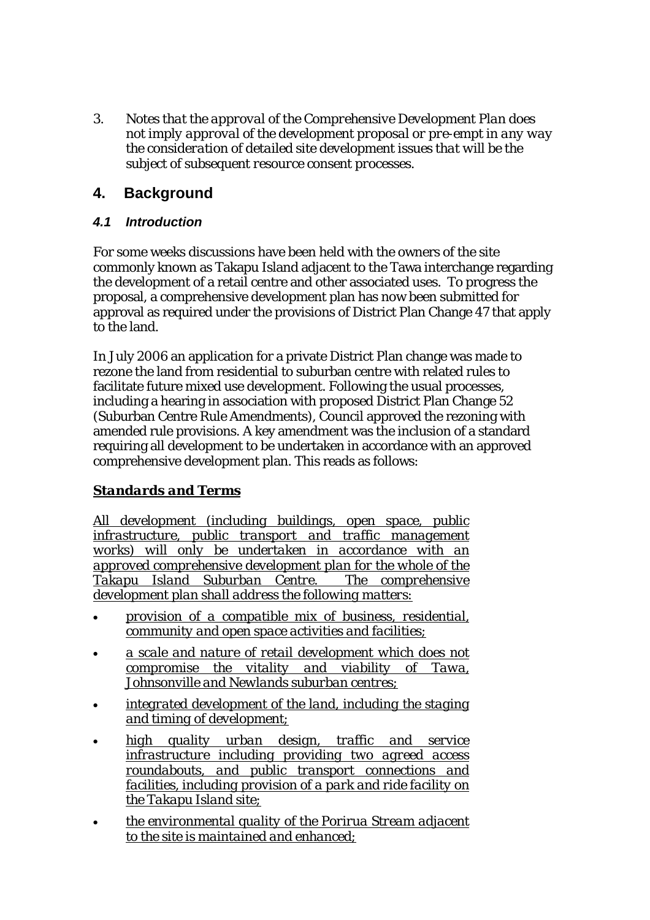*3. Notes that the approval of the Comprehensive Development Plan does not imply approval of the development proposal or pre-empt in any way the consideration of detailed site development issues that will be the subject of subsequent resource consent processes.* 

### **4. Background**

#### *4.1 Introduction*

For some weeks discussions have been held with the owners of the site commonly known as Takapu Island adjacent to the Tawa interchange regarding the development of a retail centre and other associated uses. To progress the proposal, a comprehensive development plan has now been submitted for approval as required under the provisions of District Plan Change 47 that apply to the land.

In July 2006 an application for a private District Plan change was made to rezone the land from residential to suburban centre with related rules to facilitate future mixed use development. Following the usual processes, including a hearing in association with proposed District Plan Change 52 (Suburban Centre Rule Amendments), Council approved the rezoning with amended rule provisions. A key amendment was the inclusion of a standard requiring all development to be undertaken in accordance with an approved comprehensive development plan. This reads as follows:

#### *Standards and Terms*

*All development (including buildings, open space, public infrastructure, public transport and traffic management works) will only be undertaken in accordance with an approved comprehensive development plan for the whole of the Takapu Island Suburban Centre. The comprehensive development plan shall address the following matters:*

- *provision of a compatible mix of business, residential, community and open space activities and facilities;*
- *a scale and nature of retail development which does not compromise the vitality and viability of Tawa, Johnsonville and Newlands suburban centres;*
- *integrated development of the land, including the staging and timing of development;*
- *high quality urban design, traffic and service infrastructure including providing two agreed access roundabouts, and public transport connections and facilities, including provision of a park and ride facility on the Takapu Island site;*
- *the environmental quality of the Porirua Stream adjacent to the site is maintained and enhanced;*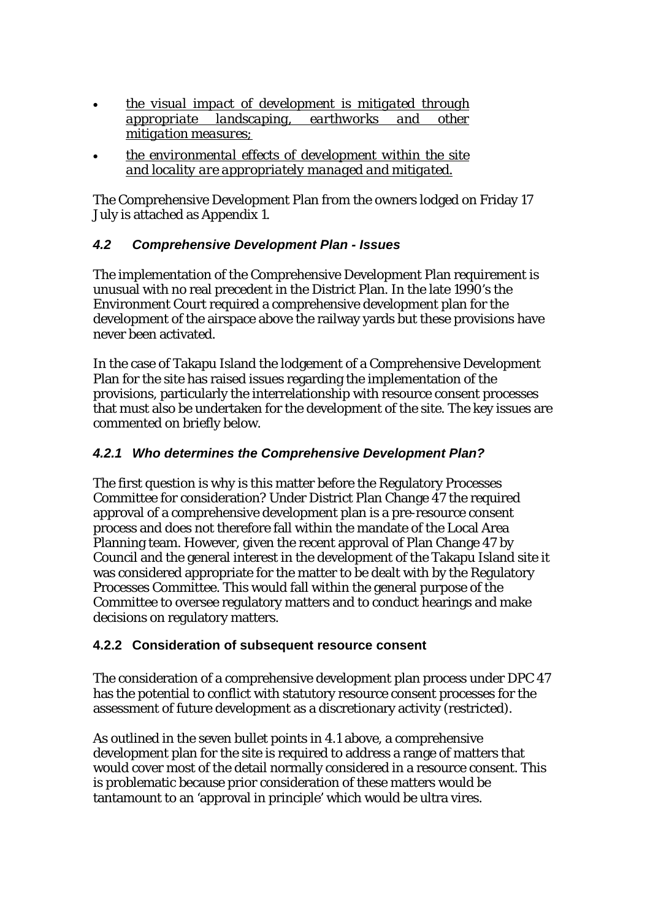- *the visual impact of development is mitigated through appropriate landscaping, earthworks and other mitigation measures;*
- *the environmental effects of development within the site and locality are appropriately managed and mitigated.*

The Comprehensive Development Plan from the owners lodged on Friday 17 July is attached as Appendix 1.

#### *4.2 Comprehensive Development Plan - Issues*

The implementation of the Comprehensive Development Plan requirement is unusual with no real precedent in the District Plan. In the late 1990's the Environment Court required a comprehensive development plan for the development of the airspace above the railway yards but these provisions have never been activated.

In the case of Takapu Island the lodgement of a Comprehensive Development Plan for the site has raised issues regarding the implementation of the provisions, particularly the interrelationship with resource consent processes that must also be undertaken for the development of the site. The key issues are commented on briefly below.

#### *4.2.1 Who determines the Comprehensive Development Plan?*

The first question is why is this matter before the Regulatory Processes Committee for consideration? Under District Plan Change 47 the required approval of a comprehensive development plan is a pre-resource consent process and does not therefore fall within the mandate of the Local Area Planning team. However, given the recent approval of Plan Change 47 by Council and the general interest in the development of the Takapu Island site it was considered appropriate for the matter to be dealt with by the Regulatory Processes Committee. This would fall within the general purpose of the Committee to oversee regulatory matters and to conduct hearings and make decisions on regulatory matters.

#### **4.2.2 Consideration of subsequent resource consent**

The consideration of a comprehensive development plan process under DPC 47 has the potential to conflict with statutory resource consent processes for the assessment of future development as a discretionary activity (restricted).

As outlined in the seven bullet points in 4.1 above, a comprehensive development plan for the site is required to address a range of matters that would cover most of the detail normally considered in a resource consent. This is problematic because prior consideration of these matters would be tantamount to an 'approval in principle' which would be ultra vires.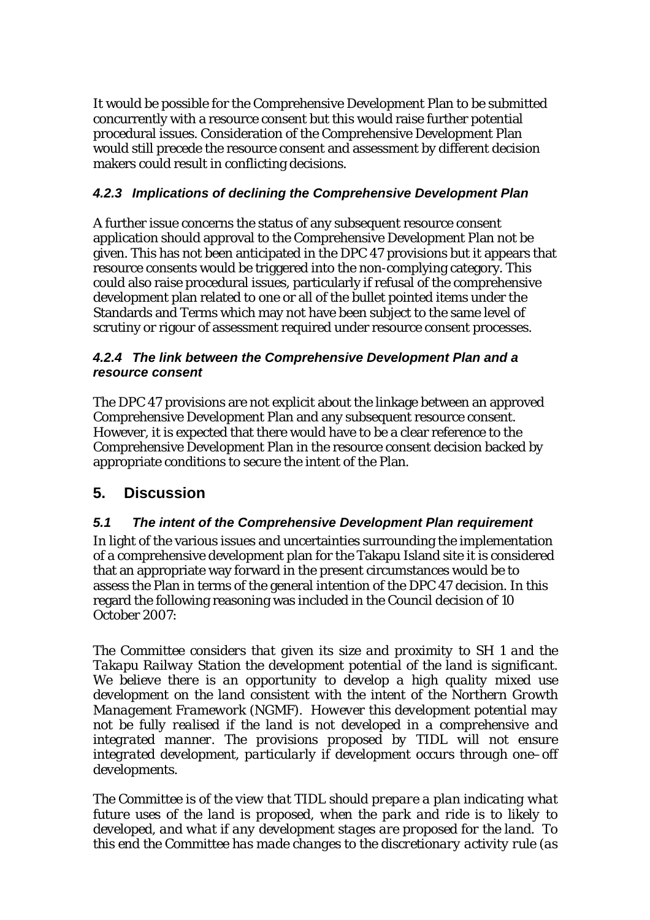It would be possible for the Comprehensive Development Plan to be submitted concurrently with a resource consent but this would raise further potential procedural issues. Consideration of the Comprehensive Development Plan would still precede the resource consent and assessment by different decision makers could result in conflicting decisions.

#### *4.2.3 Implications of declining the Comprehensive Development Plan*

A further issue concerns the status of any subsequent resource consent application should approval to the Comprehensive Development Plan not be given. This has not been anticipated in the DPC 47 provisions but it appears that resource consents would be triggered into the non-complying category. This could also raise procedural issues, particularly if refusal of the comprehensive development plan related to one or all of the bullet pointed items under the Standards and Terms which may not have been subject to the same level of scrutiny or rigour of assessment required under resource consent processes.

#### *4.2.4 The link between the Comprehensive Development Plan and a resource consent*

The DPC 47 provisions are not explicit about the linkage between an approved Comprehensive Development Plan and any subsequent resource consent. However, it is expected that there would have to be a clear reference to the Comprehensive Development Plan in the resource consent decision backed by appropriate conditions to secure the intent of the Plan.

## **5. Discussion**

#### *5.1 The intent of the Comprehensive Development Plan requirement*

In light of the various issues and uncertainties surrounding the implementation of a comprehensive development plan for the Takapu Island site it is considered that an appropriate way forward in the present circumstances would be to assess the Plan in terms of the general intention of the DPC 47 decision. In this regard the following reasoning was included in the Council decision of 10 October 2007:

*The Committee considers that given its size and proximity to SH 1 and the Takapu Railway Station the development potential of the land is significant. We believe there is an opportunity to develop a high quality mixed use development on the land consistent with the intent of the Northern Growth Management Framework (NGMF). However this development potential may not be fully realised if the land is not developed in a comprehensive and integrated manner. The provisions proposed by TIDL will not ensure integrated development, particularly if development occurs through one–off developments.* 

*The Committee is of the view that TIDL should prepare a plan indicating what future uses of the land is proposed, when the park and ride is to likely to developed, and what if any development stages are proposed for the land. To this end the Committee has made changes to the discretionary activity rule (as*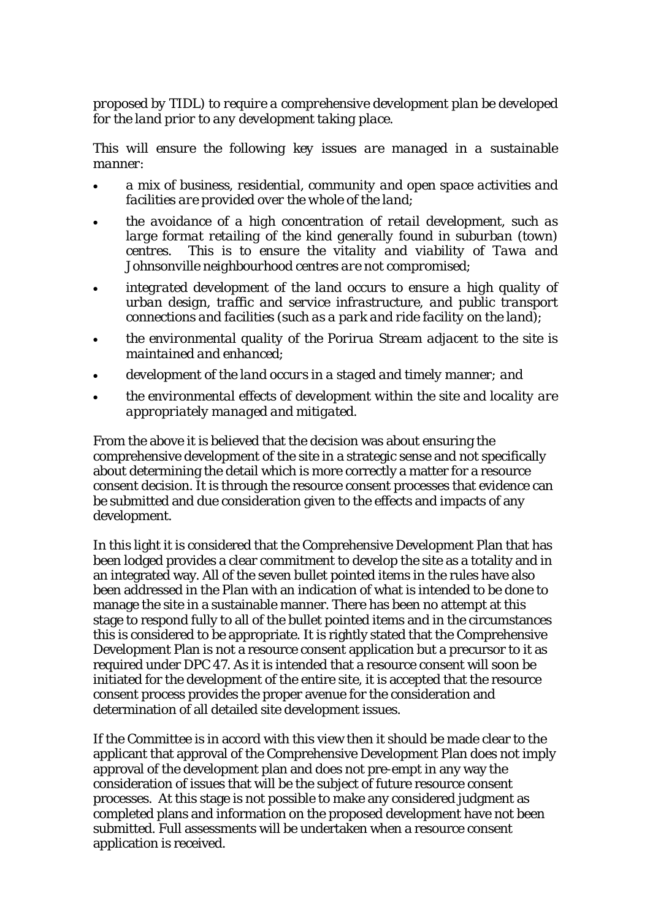*proposed by TIDL) to require a comprehensive development plan be developed for the land prior to any development taking place.* 

*This will ensure the following key issues are managed in a sustainable manner:* 

- *a mix of business, residential, community and open space activities and facilities are provided over the whole of the land;*
- *the avoidance of a high concentration of retail development, such as large format retailing of the kind generally found in suburban (town) centres. This is to ensure the vitality and viability of Tawa and Johnsonville neighbourhood centres are not compromised;*
- *integrated development of the land occurs to ensure a high quality of urban design, traffic and service infrastructure, and public transport connections and facilities (such as a park and ride facility on the land);*
- *the environmental quality of the Porirua Stream adjacent to the site is maintained and enhanced;*
- *development of the land occurs in a staged and timely manner; and*
- *the environmental effects of development within the site and locality are appropriately managed and mitigated.*

From the above it is believed that the decision was about ensuring the comprehensive development of the site in a strategic sense and not specifically about determining the detail which is more correctly a matter for a resource consent decision. It is through the resource consent processes that evidence can be submitted and due consideration given to the effects and impacts of any development.

In this light it is considered that the Comprehensive Development Plan that has been lodged provides a clear commitment to develop the site as a totality and in an integrated way. All of the seven bullet pointed items in the rules have also been addressed in the Plan with an indication of what is intended to be done to manage the site in a sustainable manner. There has been no attempt at this stage to respond fully to all of the bullet pointed items and in the circumstances this is considered to be appropriate. It is rightly stated that the Comprehensive Development Plan is not a resource consent application but a precursor to it as required under DPC 47. As it is intended that a resource consent will soon be initiated for the development of the entire site, it is accepted that the resource consent process provides the proper avenue for the consideration and determination of all detailed site development issues.

If the Committee is in accord with this view then it should be made clear to the applicant that approval of the Comprehensive Development Plan does not imply approval of the development plan and does not pre-empt in any way the consideration of issues that will be the subject of future resource consent processes. At this stage is not possible to make any considered judgment as completed plans and information on the proposed development have not been submitted. Full assessments will be undertaken when a resource consent application is received.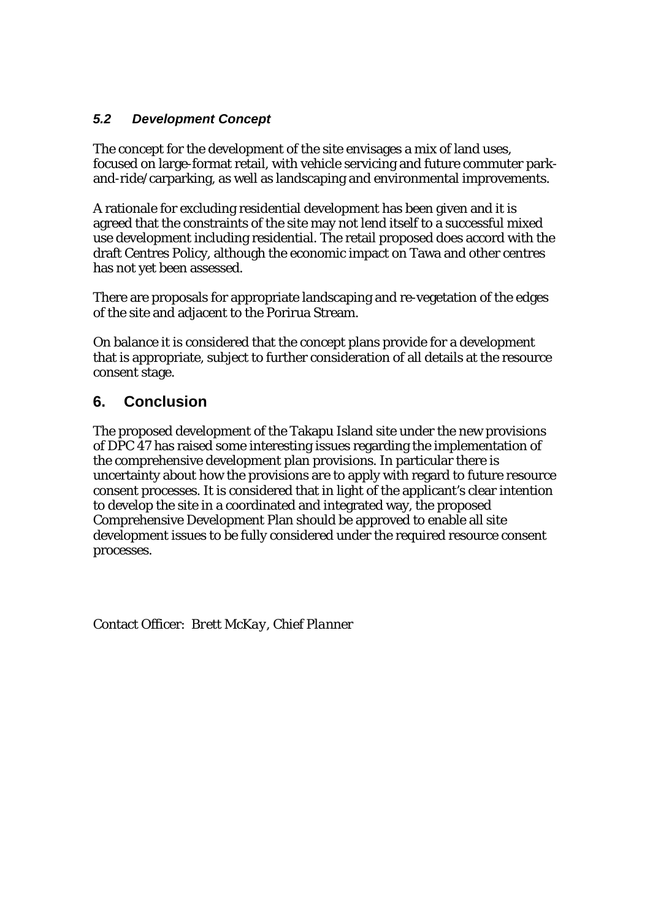#### *5.2 Development Concept*

The concept for the development of the site envisages a mix of land uses, focused on large-format retail, with vehicle servicing and future commuter parkand-ride/carparking, as well as landscaping and environmental improvements.

A rationale for excluding residential development has been given and it is agreed that the constraints of the site may not lend itself to a successful mixed use development including residential. The retail proposed does accord with the draft Centres Policy, although the economic impact on Tawa and other centres has not yet been assessed.

There are proposals for appropriate landscaping and re-vegetation of the edges of the site and adjacent to the Porirua Stream.

On balance it is considered that the concept plans provide for a development that is appropriate, subject to further consideration of all details at the resource consent stage.

## **6. Conclusion**

The proposed development of the Takapu Island site under the new provisions of DPC 47 has raised some interesting issues regarding the implementation of the comprehensive development plan provisions. In particular there is uncertainty about how the provisions are to apply with regard to future resource consent processes. It is considered that in light of the applicant's clear intention to develop the site in a coordinated and integrated way, the proposed Comprehensive Development Plan should be approved to enable all site development issues to be fully considered under the required resource consent processes.

Contact Officer: *Brett McKay, Chief Planner*